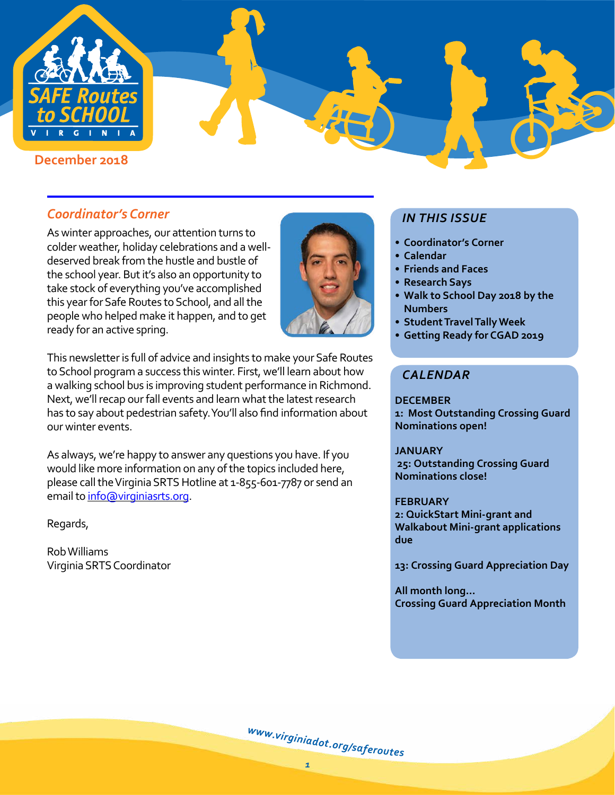

# *Coordinator's Corner*

As winter approaches, our attention turns to colder weather, holiday celebrations and a welldeserved break from the hustle and bustle of the school year. But it's also an opportunity to take stock of everything you've accomplished this year for Safe Routes to School, and all the people who helped make it happen, and to get ready for an active spring.



This newsletter is full of advice and insights to make your Safe Routes to School program a success this winter. First, we'll learn about how a walking school bus is improving student performance in Richmond. Next, we'll recap our fall events and learn what the latest research has to say about pedestrian safety. You'll also find information about our winter events.

As always, we're happy to answer any questions you have. If you would like more information on any of the topics included here, please call the Virginia SRTS Hotline at 1-855-601-7787 or send an email to [info@virginiasrts.org](mailto:info%40virginiasrts.org?subject=).

Regards,

Rob Williams Virginia SRTS Coordinator

# *IN THIS ISSUE*

- **• Coordinator's Corner**
- **• Calendar**
- **• Friends and Faces**
- **• Research Says**
- **• Walk to School Day 2018 by the Numbers**
- **• Student Travel Tally Week**
- **• Getting Ready for CGAD 2019**

## *CALENDAR*

**DECEMBER 1: Most Outstanding Crossing Guard Nominations open!** 

#### **JANUARY 25: Outstanding Crossing Guard**

**Nominations close!**

#### **FEBRUARY**

**2: QuickStart Mini-grant and Walkabout Mini-grant applications due**

**13: Crossing Guard Appreciation Day**

**All month long... Crossing Guard Appreciation Month**

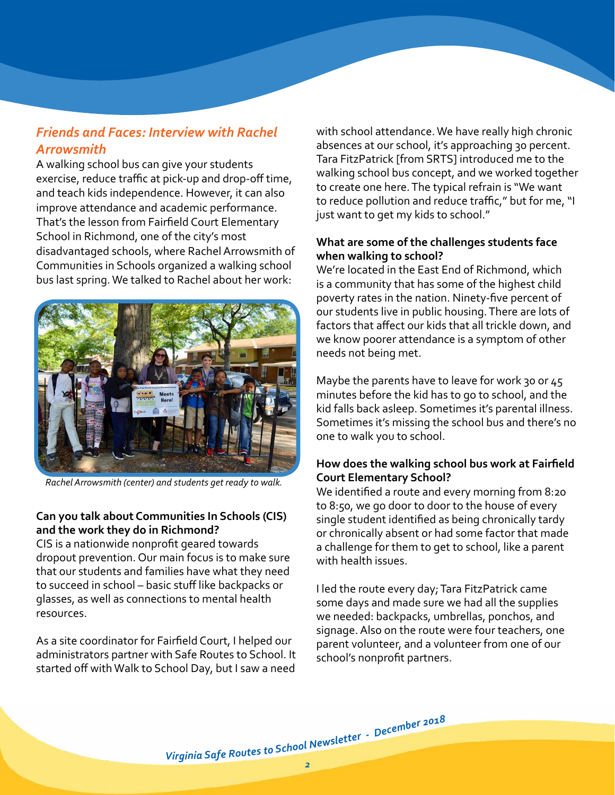# *Friends and Faces: Interview with Rachel Arrowsmith*

A walking school bus can give your students exercise, reduce traffic at pick-up and drop-off time, and teach kids independence. However, it can also improve attendance and academic performance. That's the lesson from Fairfield Court Elementary School in Richmond, one of the city's most disadvantaged schools, where Rachel Arrowsmith of Communities in Schools organized a walking school bus last spring. We talked to Rachel about her work:



*Rachel Arrowsmith (center) and students get ready to walk.*

### **Can you talk about Communities In Schools (CIS) and the work they do in Richmond?**

CIS is a nationwide nonprofit geared towards dropout prevention. Our main focus is to make sure that our students and families have what they need to succeed in school – basic stuff like backpacks or glasses, as well as connections to mental health resources.

As a site coordinator for Fairfield Court, I helped our administrators partner with Safe Routes to School. It started off with Walk to School Day, but I saw a need with school attendance. We have really high chronic absences at our school, it's approaching 30 percent. Tara FitzPatrick [from SRTS] introduced me to the walking school bus concept, and we worked together to create one here. The typical refrain is "We want to reduce pollution and reduce traffic," but for me, "I just want to get my kids to school."

#### **What are some of the challenges students face when walking to school?**

We're located in the East End of Richmond, which is a community that has some of the highest child poverty rates in the nation. Ninety-five percent of our students live in public housing. There are lots of factors that affect our kids that all trickle down, and we know poorer attendance is a symptom of other needs not being met.

Maybe the parents have to leave for work 30 or 45 minutes before the kid has to go to school, and the kid falls back asleep. Sometimes it's parental illness. Sometimes it's missing the school bus and there's no one to walk you to school.

### **How does the walking school bus work at Fairfield Court Elementary School?**

We identified a route and every morning from 8:20 to 8:50, we go door to door to the house of every single student identified as being chronically tardy or chronically absent or had some factor that made a challenge for them to get to school, like a parent with health issues.

I led the route every day; Tara FitzPatrick came some days and made sure we had all the supplies we needed: backpacks, umbrellas, ponchos, and signage. Also on the route were four teachers, one parent volunteer, and a volunteer from one of our school's nonprofit partners.

Virginia Safe Routes to School Newsletter - December 2018<br>2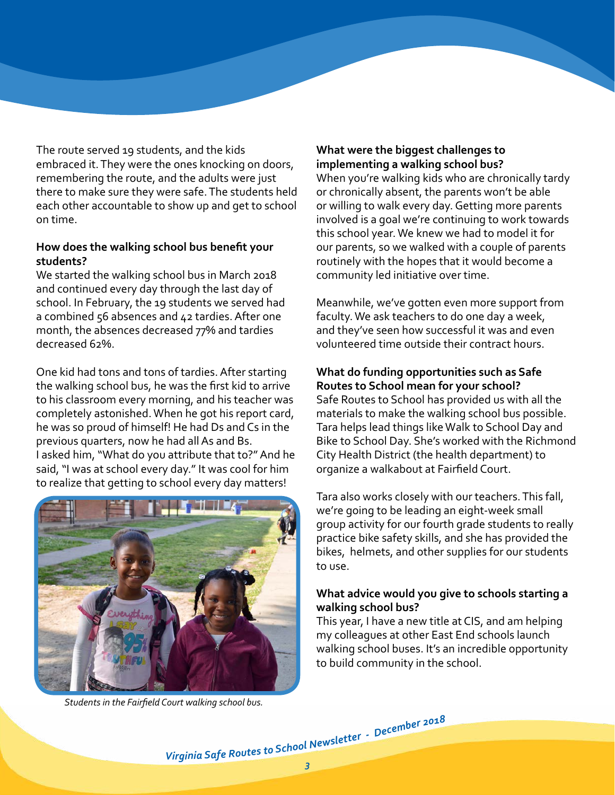The route served 19 students, and the kids embraced it. They were the ones knocking on doors, remembering the route, and the adults were just there to make sure they were safe. The students held each other accountable to show up and get to school on time.

### **How does the walking school bus benefit your students?**

We started the walking school bus in March 2018 and continued every day through the last day of school. In February, the 19 students we served had a combined 56 absences and 42 tardies. After one month, the absences decreased 77% and tardies decreased 62%.

One kid had tons and tons of tardies. After starting the walking school bus, he was the first kid to arrive to his classroom every morning, and his teacher was completely astonished. When he got his report card, he was so proud of himself! He had Ds and Cs in the previous quarters, now he had all As and Bs. I asked him, "What do you attribute that to?" And he said, "I was at school every day." It was cool for him to realize that getting to school every day matters!



*Students in the Fairfield Court walking school bus.*

## **What were the biggest challenges to implementing a walking school bus?**

When you're walking kids who are chronically tardy or chronically absent, the parents won't be able or willing to walk every day. Getting more parents involved is a goal we're continuing to work towards this school year. We knew we had to model it for our parents, so we walked with a couple of parents routinely with the hopes that it would become a community led initiative over time.

Meanwhile, we've gotten even more support from faculty. We ask teachers to do one day a week, and they've seen how successful it was and even volunteered time outside their contract hours.

#### **What do funding opportunities such as Safe Routes to School mean for your school?**

Safe Routes to School has provided us with all the materials to make the walking school bus possible. Tara helps lead things like Walk to School Day and Bike to School Day. She's worked with the Richmond City Health District (the health department) to organize a walkabout at Fairfield Court.

Tara also works closely with our teachers. This fall, we're going to be leading an eight-week small group activity for our fourth grade students to really practice bike safety skills, and she has provided the bikes, helmets, and other supplies for our students to use.

#### **What advice would you give to schools starting a walking school bus?**

This year, I have a new title at CIS, and am helping my colleagues at other East End schools launch walking school buses. It's an incredible opportunity to build community in the school.

Virginia Safe Routes to School Newsletter - December 2018<br>3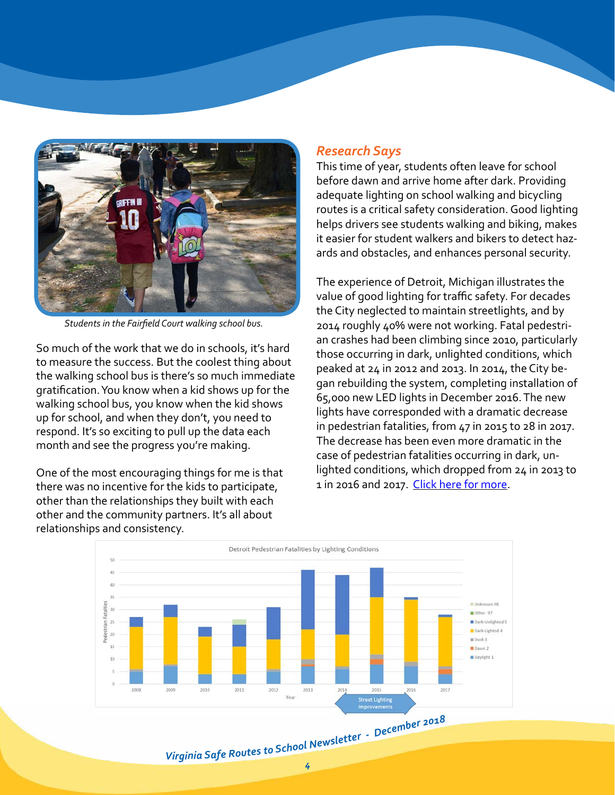

*Students in the Fairfield Court walking school bus.*

So much of the work that we do in schools, it's hard to measure the success. But the coolest thing about the walking school bus is there's so much immediate gratification. You know when a kid shows up for the walking school bus, you know when the kid shows up for school, and when they don't, you need to respond. It's so exciting to pull up the data each month and see the progress you're making.

One of the most encouraging things for me is that there was no incentive for the kids to participate, other than the relationships they built with each other and the community partners. It's all about relationships and consistency.

## *Research Says*

This time of year, students often leave for school before dawn and arrive home after dark. Providing adequate lighting on school walking and bicycling routes is a critical safety consideration. Good lighting helps drivers see students walking and biking, makes it easier for student walkers and bikers to detect hazards and obstacles, and enhances personal security.

The experience of Detroit, Michigan illustrates the value of good lighting for traffic safety. For decades the City neglected to maintain streetlights, and by 2014 roughly 40% were not working. Fatal pedestrian crashes had been climbing since 2010, particularly those occurring in dark, unlighted conditions, which peaked at 24 in 2012 and 2013. In 2014, the City began rebuilding the system, completing installation of 65,000 new LED lights in December 2016. The new lights have corresponded with a dramatic decrease in pedestrian fatalities, from 47 in 2015 to 28 in 2017. The decrease has been even more dramatic in the case of pedestrian fatalities occurring in dark, unlighted conditions, which dropped from 24 in 2013 to 1 in 2016 and 2017. [Click here for more](http://detroitgreenways.org/detroit-public-lighting-improvements-reducing-pedestrian-fatalities/).

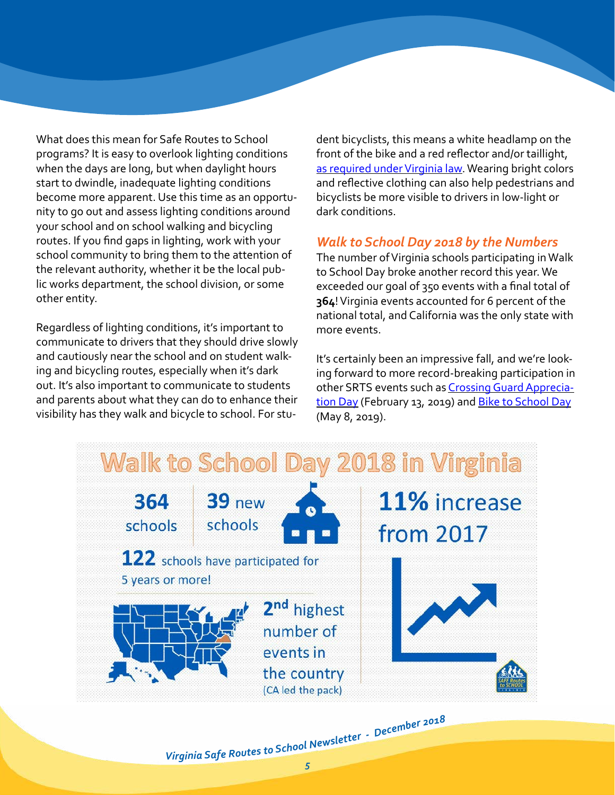What does this mean for Safe Routes to School programs? It is easy to overlook lighting conditions when the days are long, but when daylight hours start to dwindle, inadequate lighting conditions become more apparent. Use this time as an opportunity to go out and assess lighting conditions around your school and on school walking and bicycling routes. If you find gaps in lighting, work with your school community to bring them to the attention of the relevant authority, whether it be the local public works department, the school division, or some other entity.

Regardless of lighting conditions, it's important to communicate to drivers that they should drive slowly and cautiously near the school and on student walking and bicycling routes, especially when it's dark out. It's also important to communicate to students and parents about what they can do to enhance their visibility has they walk and bicycle to school. For stu-

dent bicyclists, this means a white headlamp on the front of the bike and a red reflector and/or taillight, [as required under Virginia law](http://www.virginiadot.org/programs/bikeped/laws_and_safety_tips.asp). Wearing bright colors and reflective clothing can also help pedestrians and bicyclists be more visible to drivers in low-light or dark conditions.

# *Walk to School Day 2018 by the Numbers*

The number of Virginia schools participating in Walk to School Day broke another record this year. We exceeded our goal of 350 events with a final total of **364**! Virginia events accounted for 6 percent of the national total, and California was the only state with more events.

It's certainly been an impressive fall, and we're looking forward to more record-breaking participation in other SRTS events such as [Crossing Guard Apprecia](http://www.virginiadot.org/programs/srsm_crossing_guard_appreciation_day.asp)[tion Day](http://www.virginiadot.org/programs/srsm_crossing_guard_appreciation_day.asp) (February 13, 2019) and [Bike to School Day](http://www.virginiadot.org/programs/srsm_national_bike_to_school_day.asp) (May 8, 2019).